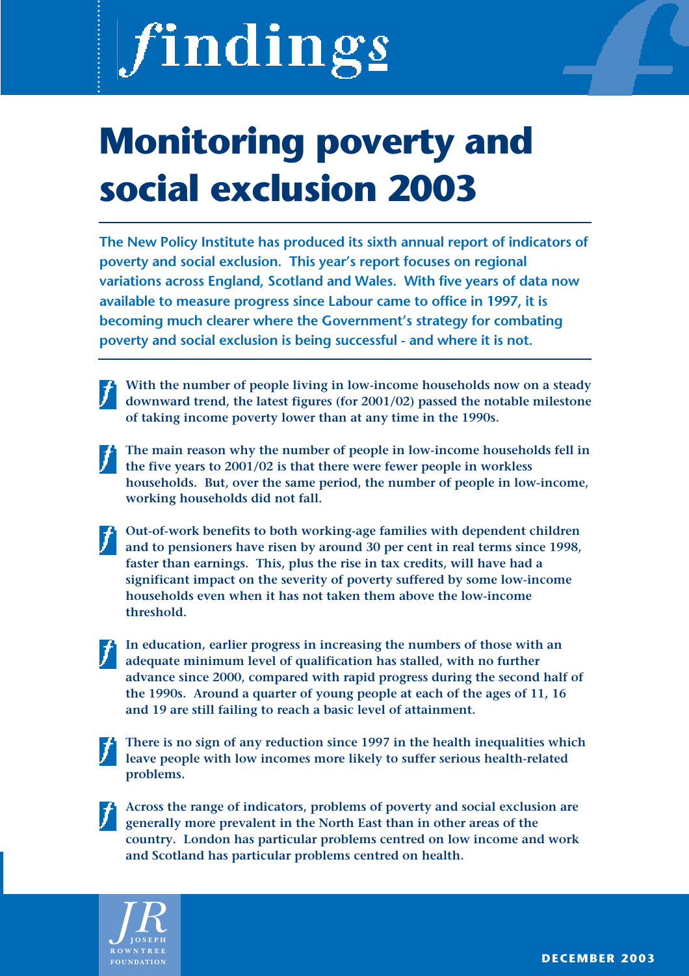# findings

## **Monitoring poverty and social exclusion 2003**

**The New Policy Institute has produced its sixth annual report of indicators of poverty and social exclusion. This year's report focuses on regional variations across England, Scotland and Wales. With five years of data now available to measure progress since Labour came to office in 1997, it is becoming much clearer where the Government's strategy for combating poverty and social exclusion is being successful - and where it is not.**

**With the number of people living in low-income households now on a steady downward trend, the latest figures (for 2001/02) passed the notable milestone of taking income poverty lower than at any time in the 1990s.**

- **The main reason why the number of people in low-income households fell in the five years to 2001/02 is that there were fewer people in workless households. But, over the same period, the number of people in low-income, working households did not fall.**
- **Out-of-work benefits to both working-age families with dependent children and to pensioners have risen by around 30 per cent in real terms since 1998, faster than earnings. This, plus the rise in tax credits, will have had a significant impact on the severity of poverty suffered by some low-income households even when it has not taken them above the low-income threshold.**
- **In education, earlier progress in increasing the numbers of those with an adequate minimum level of qualification has stalled, with no further advance since 2000, compared with rapid progress during the second half of the 1990s. Around a quarter of young people at each of the ages of 11, 16 and 19 are still failing to reach a basic level of attainment.**
- 

**There is no sign of any reduction since 1997 in the health inequalities which leave people with low incomes more likely to suffer serious health-related problems.**

**Across the range of indicators, problems of poverty and social exclusion are generally more prevalent in the North East than in other areas of the country. London has particular problems centred on low income and work and Scotland has particular problems centred on health.** 

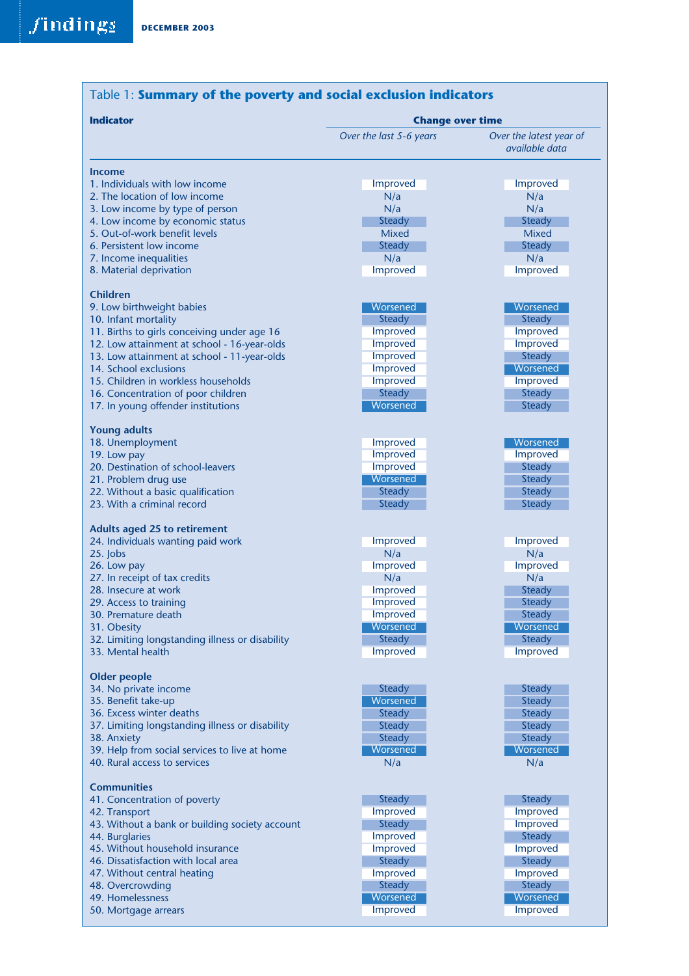| <b>Indicator</b>                                                              | <b>Change over time</b>   |                                           |  |  |  |
|-------------------------------------------------------------------------------|---------------------------|-------------------------------------------|--|--|--|
|                                                                               | Over the last 5-6 years   | Over the latest year of<br>available data |  |  |  |
| <b>Income</b>                                                                 |                           |                                           |  |  |  |
| 1. Individuals with low income                                                | Improved                  | Improved                                  |  |  |  |
| 2. The location of low income                                                 | N/a                       | N/a                                       |  |  |  |
| 3. Low income by type of person                                               | N/a                       | N/a                                       |  |  |  |
| 4. Low income by economic status                                              | <b>Steady</b>             | <b>Steady</b>                             |  |  |  |
| 5. Out-of-work benefit levels                                                 | <b>Mixed</b>              | <b>Mixed</b>                              |  |  |  |
| 6. Persistent low income                                                      | <b>Steady</b>             | <b>Steady</b>                             |  |  |  |
| 7. Income inequalities                                                        | N/a                       | N/a                                       |  |  |  |
| 8. Material deprivation                                                       | Improved                  | Improved                                  |  |  |  |
|                                                                               |                           |                                           |  |  |  |
| <b>Children</b><br>9. Low birthweight babies                                  | Worsened                  | Worsened                                  |  |  |  |
|                                                                               |                           |                                           |  |  |  |
| 10. Infant mortality                                                          | <b>Steady</b><br>Improved | <b>Steady</b><br>Improved                 |  |  |  |
| 11. Births to girls conceiving under age 16                                   | Improved                  | Improved                                  |  |  |  |
| 12. Low attainment at school - 16-year-olds                                   |                           |                                           |  |  |  |
| 13. Low attainment at school - 11-year-olds                                   | Improved                  | <b>Steady</b>                             |  |  |  |
| 14. School exclusions                                                         | Improved                  | Worsened                                  |  |  |  |
| 15. Children in workless households                                           | Improved                  | Improved                                  |  |  |  |
| 16. Concentration of poor children                                            | <b>Steady</b>             | <b>Steady</b>                             |  |  |  |
| 17. In young offender institutions                                            | Worsened                  | <b>Steady</b>                             |  |  |  |
| <b>Young adults</b>                                                           |                           |                                           |  |  |  |
| 18. Unemployment                                                              | Improved                  | Worsened                                  |  |  |  |
| 19. Low pay                                                                   | Improved                  | Improved                                  |  |  |  |
| 20. Destination of school-leavers                                             | Improved                  | <b>Steady</b>                             |  |  |  |
| 21. Problem drug use                                                          | Worsened                  | <b>Steady</b>                             |  |  |  |
| 22. Without a basic qualification                                             | <b>Steady</b>             | <b>Steady</b>                             |  |  |  |
| 23. With a criminal record                                                    | <b>Steady</b>             | <b>Steady</b>                             |  |  |  |
| <b>Adults aged 25 to retirement</b>                                           |                           |                                           |  |  |  |
| 24. Individuals wanting paid work                                             | Improved                  | Improved                                  |  |  |  |
| 25. Jobs                                                                      | N/a                       | N/a                                       |  |  |  |
| 26. Low pay                                                                   | Improved                  | Improved                                  |  |  |  |
| 27. In receipt of tax credits                                                 | N/a                       | N/a                                       |  |  |  |
| 28. Insecure at work                                                          | Improved                  | <b>Steady</b>                             |  |  |  |
| 29. Access to training                                                        | Improved                  | <b>Steady</b>                             |  |  |  |
| 30. Premature death                                                           | Improved                  | <b>Steady</b>                             |  |  |  |
| 31. Obesity                                                                   | Worsened                  | Worsened                                  |  |  |  |
| 32. Limiting longstanding illness or disability                               | <b>Steady</b>             | <b>Steady</b>                             |  |  |  |
| 33. Mental health                                                             | Improved                  | Improved                                  |  |  |  |
|                                                                               |                           |                                           |  |  |  |
| <b>Older people</b><br>34. No private income                                  | <b>Steady</b>             | <b>Steady</b>                             |  |  |  |
| 35. Benefit take-up                                                           | Worsened                  | <b>Steady</b>                             |  |  |  |
| 36. Excess winter deaths                                                      | <b>Steady</b>             | <b>Steady</b>                             |  |  |  |
| 37. Limiting longstanding illness or disability                               | <b>Steady</b>             | <b>Steady</b>                             |  |  |  |
|                                                                               | <b>Steady</b>             | <b>Steady</b>                             |  |  |  |
| 38. Anxiety                                                                   | Worsened                  | Worsened                                  |  |  |  |
| 39. Help from social services to live at home<br>40. Rural access to services |                           |                                           |  |  |  |
|                                                                               | N/a                       | N/a                                       |  |  |  |
| <b>Communities</b>                                                            |                           |                                           |  |  |  |
| 41. Concentration of poverty                                                  | <b>Steady</b>             | <b>Steady</b>                             |  |  |  |
| 42. Transport                                                                 | Improved                  | Improved                                  |  |  |  |
| 43. Without a bank or building society account                                | <b>Steady</b>             | Improved                                  |  |  |  |
| 44. Burglaries                                                                | Improved                  | <b>Steady</b>                             |  |  |  |
| 45. Without household insurance                                               | Improved                  | Improved                                  |  |  |  |
| 46. Dissatisfaction with local area                                           | <b>Steady</b>             | <b>Steady</b>                             |  |  |  |
| 47. Without central heating                                                   | Improved                  | Improved                                  |  |  |  |
| 48. Overcrowding                                                              | <b>Steady</b>             | <b>Steady</b>                             |  |  |  |
| 49. Homelessness                                                              | Worsened                  | Worsened                                  |  |  |  |
| 50. Mortgage arrears                                                          | Improved                  | Improved                                  |  |  |  |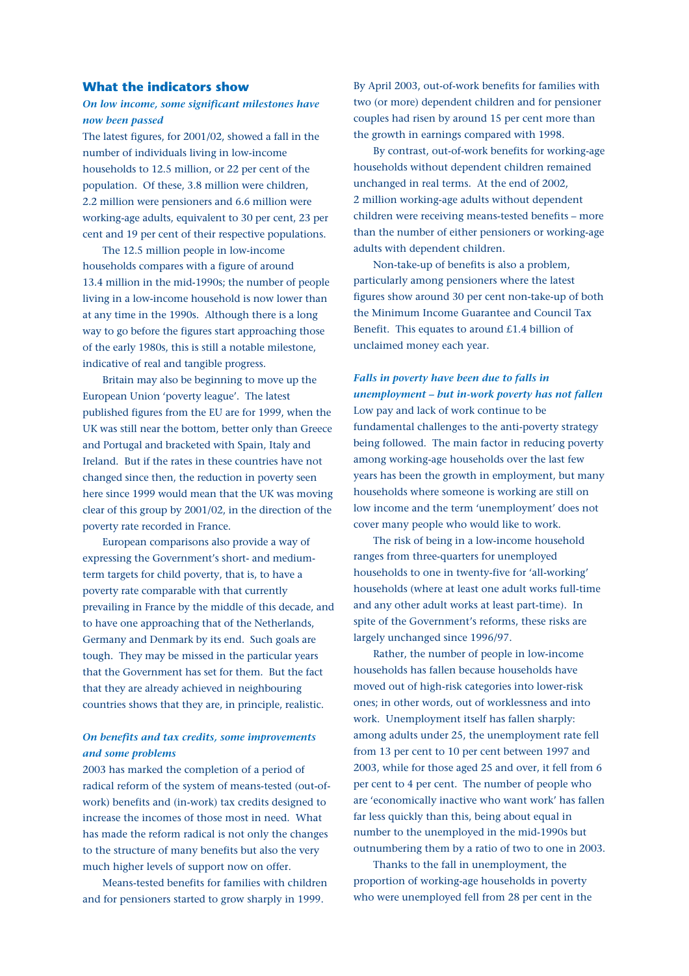### **What the indicators show**

#### *On low income, some significant milestones have now been passed*

The latest figures, for 2001/02, showed a fall in the number of individuals living in low-income households to 12.5 million, or 22 per cent of the population. Of these, 3.8 million were children, 2.2 million were pensioners and 6.6 million were working-age adults, equivalent to 30 per cent, 23 per cent and 19 per cent of their respective populations.

The 12.5 million people in low-income households compares with a figure of around 13.4 million in the mid-1990s; the number of people living in a low-income household is now lower than at any time in the 1990s. Although there is a long way to go before the figures start approaching those of the early 1980s, this is still a notable milestone, indicative of real and tangible progress.

Britain may also be beginning to move up the European Union 'poverty league'. The latest published figures from the EU are for 1999, when the UK was still near the bottom, better only than Greece and Portugal and bracketed with Spain, Italy and Ireland. But if the rates in these countries have not changed since then, the reduction in poverty seen here since 1999 would mean that the UK was moving clear of this group by 2001/02, in the direction of the poverty rate recorded in France.

European comparisons also provide a way of expressing the Government's short- and mediumterm targets for child poverty, that is, to have a poverty rate comparable with that currently prevailing in France by the middle of this decade, and to have one approaching that of the Netherlands, Germany and Denmark by its end. Such goals are tough. They may be missed in the particular years that the Government has set for them. But the fact that they are already achieved in neighbouring countries shows that they are, in principle, realistic.

#### *On benefits and tax credits, some improvements and some problems*

2003 has marked the completion of a period of radical reform of the system of means-tested (out-ofwork) benefits and (in-work) tax credits designed to increase the incomes of those most in need. What has made the reform radical is not only the changes to the structure of many benefits but also the very much higher levels of support now on offer.

Means-tested benefits for families with children and for pensioners started to grow sharply in 1999.

By April 2003, out-of-work benefits for families with two (or more) dependent children and for pensioner couples had risen by around 15 per cent more than the growth in earnings compared with 1998.

By contrast, out-of-work benefits for working-age households without dependent children remained unchanged in real terms. At the end of 2002, 2 million working-age adults without dependent children were receiving means-tested benefits – more than the number of either pensioners or working-age adults with dependent children.

Non-take-up of benefits is also a problem, particularly among pensioners where the latest figures show around 30 per cent non-take-up of both the Minimum Income Guarantee and Council Tax Benefit. This equates to around  $£1.4$  billion of unclaimed money each year.

*Falls in poverty have been due to falls in unemployment – but in-work poverty has not fallen* Low pay and lack of work continue to be fundamental challenges to the anti-poverty strategy being followed. The main factor in reducing poverty among working-age households over the last few years has been the growth in employment, but many households where someone is working are still on low income and the term 'unemployment' does not cover many people who would like to work.

The risk of being in a low-income household ranges from three-quarters for unemployed households to one in twenty-five for 'all-working' households (where at least one adult works full-time and any other adult works at least part-time). In spite of the Government's reforms, these risks are largely unchanged since 1996/97.

Rather, the number of people in low-income households has fallen because households have moved out of high-risk categories into lower-risk ones; in other words, out of worklessness and into work. Unemployment itself has fallen sharply: among adults under 25, the unemployment rate fell from 13 per cent to 10 per cent between 1997 and 2003, while for those aged 25 and over, it fell from 6 per cent to 4 per cent. The number of people who are 'economically inactive who want work' has fallen far less quickly than this, being about equal in number to the unemployed in the mid-1990s but outnumbering them by a ratio of two to one in 2003.

Thanks to the fall in unemployment, the proportion of working-age households in poverty who were unemployed fell from 28 per cent in the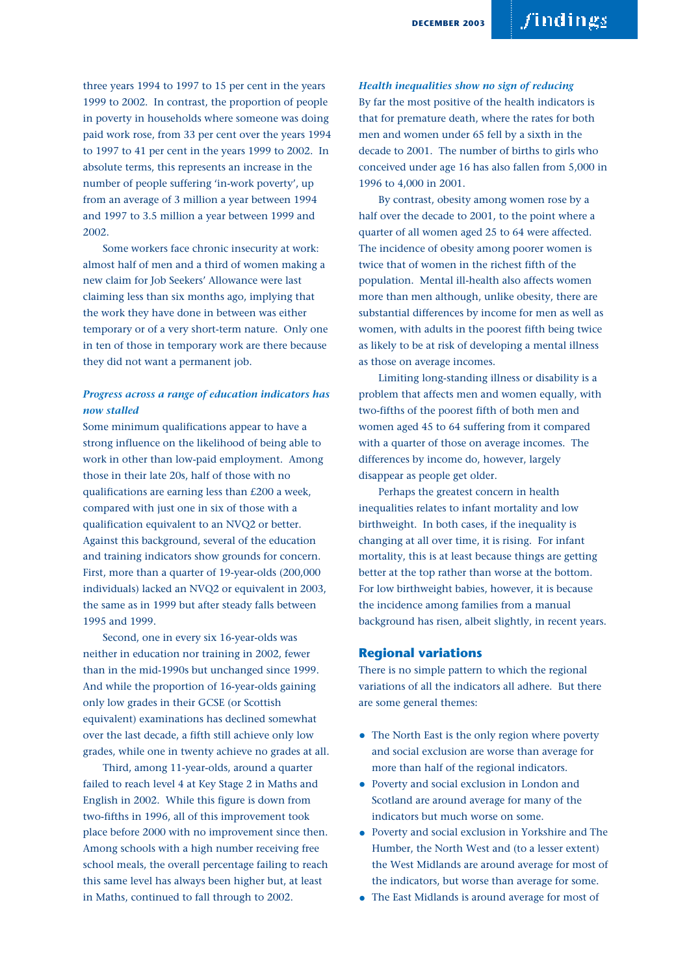three years 1994 to 1997 to 15 per cent in the years 1999 to 2002. In contrast, the proportion of people in poverty in households where someone was doing paid work rose, from 33 per cent over the years 1994 to 1997 to 41 per cent in the years 1999 to 2002. In absolute terms, this represents an increase in the number of people suffering 'in-work poverty', up from an average of 3 million a year between 1994 and 1997 to 3.5 million a year between 1999 and 2002.

Some workers face chronic insecurity at work: almost half of men and a third of women making a new claim for Job Seekers' Allowance were last claiming less than six months ago, implying that the work they have done in between was either temporary or of a very short-term nature. Only one in ten of those in temporary work are there because they did not want a permanent job.

### *Progress across a range of education indicators has now stalled*

Some minimum qualifications appear to have a strong influence on the likelihood of being able to work in other than low-paid employment. Among those in their late 20s, half of those with no qualifications are earning less than £200 a week, compared with just one in six of those with a qualification equivalent to an NVQ2 or better. Against this background, several of the education and training indicators show grounds for concern. First, more than a quarter of 19-year-olds (200,000 individuals) lacked an NVQ2 or equivalent in 2003, the same as in 1999 but after steady falls between 1995 and 1999.

Second, one in every six 16-year-olds was neither in education nor training in 2002, fewer than in the mid-1990s but unchanged since 1999. And while the proportion of 16-year-olds gaining only low grades in their GCSE (or Scottish equivalent) examinations has declined somewhat over the last decade, a fifth still achieve only low grades, while one in twenty achieve no grades at all.

Third, among 11-year-olds, around a quarter failed to reach level 4 at Key Stage 2 in Maths and English in 2002. While this figure is down from two-fifths in 1996, all of this improvement took place before 2000 with no improvement since then. Among schools with a high number receiving free school meals, the overall percentage failing to reach this same level has always been higher but, at least in Maths, continued to fall through to 2002.

*Health inequalities show no sign of reducing* By far the most positive of the health indicators is that for premature death, where the rates for both men and women under 65 fell by a sixth in the decade to 2001. The number of births to girls who conceived under age 16 has also fallen from 5,000 in 1996 to 4,000 in 2001.

By contrast, obesity among women rose by a half over the decade to 2001, to the point where a quarter of all women aged 25 to 64 were affected. The incidence of obesity among poorer women is twice that of women in the richest fifth of the population. Mental ill-health also affects women more than men although, unlike obesity, there are substantial differences by income for men as well as women, with adults in the poorest fifth being twice as likely to be at risk of developing a mental illness as those on average incomes.

Limiting long-standing illness or disability is a problem that affects men and women equally, with two-fifths of the poorest fifth of both men and women aged 45 to 64 suffering from it compared with a quarter of those on average incomes. The differences by income do, however, largely disappear as people get older.

Perhaps the greatest concern in health inequalities relates to infant mortality and low birthweight. In both cases, if the inequality is changing at all over time, it is rising. For infant mortality, this is at least because things are getting better at the top rather than worse at the bottom. For low birthweight babies, however, it is because the incidence among families from a manual background has risen, albeit slightly, in recent years.

#### **Regional variations**

There is no simple pattern to which the regional variations of all the indicators all adhere. But there are some general themes:

- The North East is the only region where poverty and social exclusion are worse than average for more than half of the regional indicators.
- Poverty and social exclusion in London and Scotland are around average for many of the indicators but much worse on some.
- Poverty and social exclusion in Yorkshire and The Humber, the North West and (to a lesser extent) the West Midlands are around average for most of the indicators, but worse than average for some.
- The East Midlands is around average for most of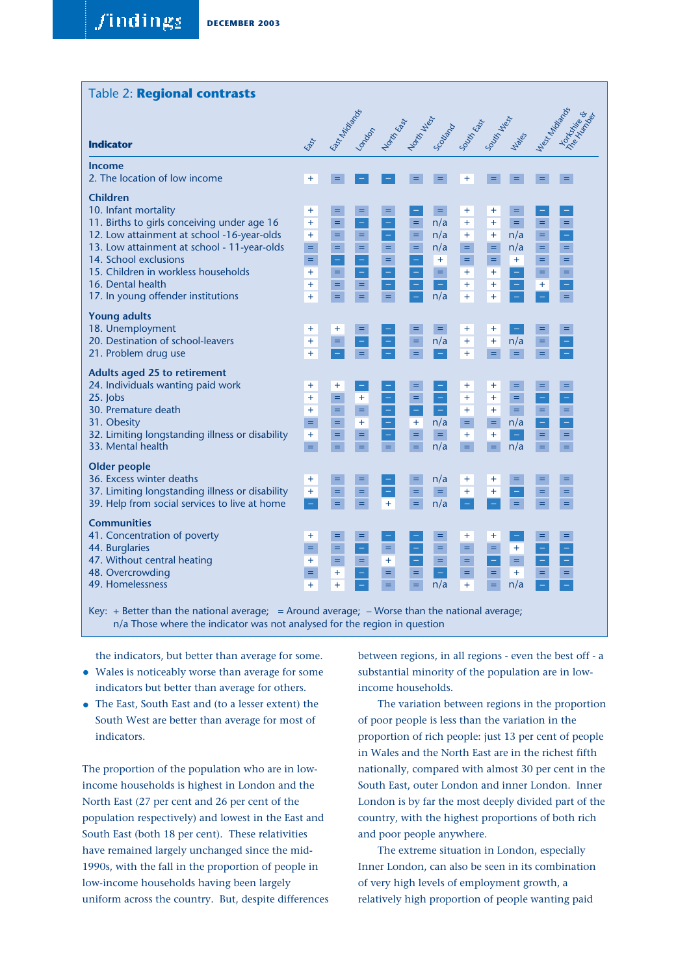| Table 2: Regional contrasts                                                                                                                                                                                                                                                                                    |                                                                              |                                            |                                                                  |                             |                                                    |                                                                |                                                                        |                                                                      |                                                |                                                          |                                                             |
|----------------------------------------------------------------------------------------------------------------------------------------------------------------------------------------------------------------------------------------------------------------------------------------------------------------|------------------------------------------------------------------------------|--------------------------------------------|------------------------------------------------------------------|-----------------------------|----------------------------------------------------|----------------------------------------------------------------|------------------------------------------------------------------------|----------------------------------------------------------------------|------------------------------------------------|----------------------------------------------------------|-------------------------------------------------------------|
| <b>Indicator</b>                                                                                                                                                                                                                                                                                               | East                                                                         |                                            |                                                                  |                             |                                                    | For the book of the control of the basis                       |                                                                        |                                                                      | Makes                                          |                                                          | Necky Mildered<br>LAPASATA RE                               |
| <b>Income</b><br>2. The location of low income                                                                                                                                                                                                                                                                 | $\pm$                                                                        | Ξ                                          | -                                                                | $\equiv$                    | Ξ                                                  | =                                                              | $\ddot{}$                                                              | Ξ                                                                    | =                                              | Ξ                                                        | $=$                                                         |
| <b>Children</b><br>10. Infant mortality<br>11. Births to girls conceiving under age 16<br>12. Low attainment at school -16-year-olds<br>13. Low attainment at school - 11-year-olds<br>14. School exclusions<br>15. Children in workless households<br>16. Dental health<br>17. In young offender institutions | $\pm$<br>$\ddot{}$<br>$\ddot{}$<br>$=$<br>=<br>$+$<br>$\ddot{}$<br>$\ddot{}$ | Ξ<br>Ξ<br>$=$<br>$=$<br>Ξ<br>Ξ<br>$=$<br>Ξ | =<br>$\equiv$<br>Ξ<br>$\equiv$<br>Ξ<br>$\equiv$<br>$\equiv$      | $=$<br>Ξ<br>Ξ<br>Ξ<br>$=$   | $=$<br>$=$<br>Ξ<br>÷                               | $=$<br>n/a<br>n/a<br>n/a<br>$+$<br>$\equiv$<br>$\equiv$<br>n/a | $\pm$<br>$\ddot{}$<br>$+$<br>$\equiv$<br>$\equiv$<br>$+$<br>$+$<br>$+$ | $\ddot{}$<br>$+$<br>$+$<br>$\equiv$<br>$\equiv$<br>$+$<br>$+$<br>$+$ | $=$<br>$\equiv$<br>n/a<br>n/a<br>$+$<br>Ξ<br>Ξ | $\equiv$<br>$\equiv$<br>Ξ<br>Ξ<br>$\equiv$<br>$+$<br>Ξ   | $\equiv$<br>Ξ<br>$\equiv$<br>Ξ<br>$\equiv$<br>Ξ<br>$\equiv$ |
| <b>Young adults</b><br>18. Unemployment<br>20. Destination of school-leavers<br>21. Problem drug use                                                                                                                                                                                                           | $\pm$<br>$\ddot{}$<br>$\ddot{}$                                              | $^{+}$<br>$=$                              | Ξ                                                                |                             | Ξ<br>$\equiv$<br>$=$                               | $\equiv$<br>n/a<br>Ξ                                           | $\ddot{}$<br>$\pm$<br>$+$                                              | $\pm$<br>$\pm$<br>$=$                                                | n/a<br>$=$                                     | =<br>Ξ<br>$\equiv$                                       | $=$<br>$\equiv$                                             |
| <b>Adults aged 25 to retirement</b><br>24. Individuals wanting paid work<br>25. Jobs<br>30. Premature death<br>31. Obesity<br>32. Limiting longstanding illness or disability<br>33. Mental health                                                                                                             | $\pm$<br>$\ddot{}$<br>$\ddot{}$<br>Ξ.<br>$+$<br>$=$                          | $\pm$<br>$=$<br>$=$<br>$=$<br>Ξ<br>$=$     | $\equiv$<br>$\ddot{}$<br>$\equiv$<br>$+$<br>$\equiv$<br>$\equiv$ | $\equiv$                    | Ξ<br>$=$<br>Ξ<br>$\ddot{}$<br>$\equiv$<br>$\equiv$ | $\frac{1}{1}$<br>n/a<br>$\equiv$<br>n/a                        | $\ddot{}$<br>$\ddot{}$<br>$\pm$<br>$\equiv$<br>$+$<br>$\equiv$         | $\ddot{}$<br>$+$<br>$+$<br>$\equiv$<br>$+$<br>$=$                    | Ξ<br>$=$<br>$\equiv$<br>n/a<br>Ξ<br>n/a        | Ξ<br>$\equiv$<br>$\hat{\bullet}$<br>$\equiv$<br>$\equiv$ | Ξ<br>Ξ<br>$\equiv$<br>Ξ<br>$\equiv$<br>$\equiv$             |
| <b>Older people</b><br>36. Excess winter deaths<br>37. Limiting longstanding illness or disability<br>39. Help from social services to live at home                                                                                                                                                            | $\pm$<br>$+$<br>$\equiv$                                                     | Ξ<br>Ξ<br>Ξ                                | Ξ<br>Ξ<br>$=$                                                    | Ξ<br>$+$                    | Ξ<br>$=$<br>$=$                                    | n/a<br>$\equiv$<br>n/a                                         | $\pm$<br>$+$<br>$\equiv$                                               | $\ddot{}$<br>$\ddot{}$<br>Ξ                                          | $\equiv$                                       | $\equiv$<br>$=$                                          | Ξ<br>Ξ<br>$\equiv$                                          |
| <b>Communities</b><br>41. Concentration of poverty<br>44. Burglaries<br>47. Without central heating<br>48. Overcrowding<br>49. Homelessness<br>Key: $+$ Better than the national average; $=$ Around average; $-$ Worse than the national average;                                                             | $\pm$<br>Ξ<br>$+$<br>=<br>$+$                                                | Ξ<br>$=$<br>Ξ<br>$\ddot{}$<br>$\ddot{}$    | $=$<br>$=$                                                       | $\equiv$<br>$+$<br>$=$<br>Ξ | Ξ<br>$\equiv$<br>$=$                               | =<br>$\equiv$<br>$\equiv$<br>$\equiv$<br>n/a                   | $\ddot{}$<br>$\equiv$<br>$\equiv$<br>$=$<br>$\ddot{}$                  | $\pm$<br>Ξ<br>Ξ<br>Ξ.<br>$\equiv$                                    | $\pm$<br>$\equiv$<br>$+$<br>n/a                | $=$<br>Ξ<br>$\equiv$<br>$\equiv$                         | $=$<br>$\frac{1}{1}$<br>$\equiv$<br>Ξ                       |

n/a Those where the indicator was not analysed for the region in question

the indicators, but better than average for some.

- Wales is noticeably worse than average for some indicators but better than average for others.
- The East, South East and (to a lesser extent) the South West are better than average for most of indicators.

The proportion of the population who are in lowincome households is highest in London and the North East (27 per cent and 26 per cent of the population respectively) and lowest in the East and South East (both 18 per cent). These relativities have remained largely unchanged since the mid-1990s, with the fall in the proportion of people in low-income households having been largely uniform across the country. But, despite differences

between regions, in all regions - even the best off - a substantial minority of the population are in lowincome households.

The variation between regions in the proportion of poor people is less than the variation in the proportion of rich people: just 13 per cent of people in Wales and the North East are in the richest fifth nationally, compared with almost 30 per cent in the South East, outer London and inner London. Inner London is by far the most deeply divided part of the country, with the highest proportions of both rich and poor people anywhere.

The extreme situation in London, especially Inner London, can also be seen in its combination of very high levels of employment growth, a relatively high proportion of people wanting paid